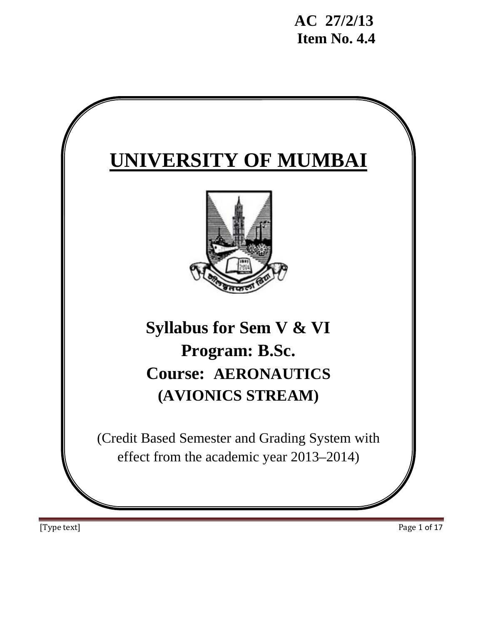

[Type text] Page 1 of 17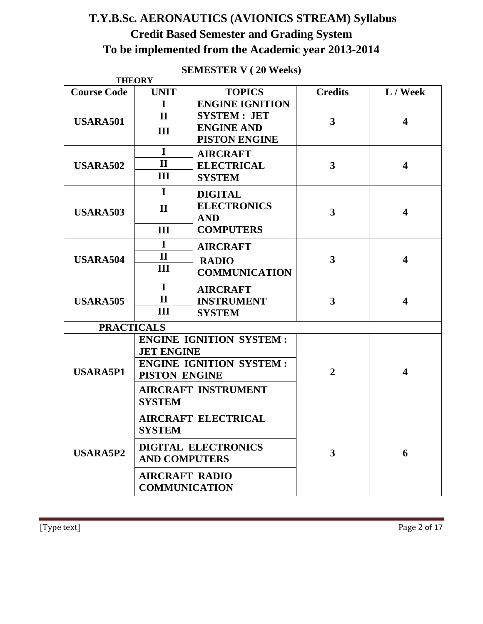# **T.Y.B.Sc. AERONAUTICS (AVIONICS STREAM) Syllabus Credit Based Semester and Grading System To be implemented from the Academic year 2013-2014**

|                    | <b>THEORY</b>              |                                |                         |                         |  |
|--------------------|----------------------------|--------------------------------|-------------------------|-------------------------|--|
| <b>Course Code</b> | <b>UNIT</b>                | <b>TOPICS</b>                  | <b>Credits</b>          | L / Week                |  |
|                    | $\mathbf I$                | <b>ENGINE IGNITION</b>         |                         |                         |  |
| <b>USARA501</b>    | $\mathbf{I}$               | <b>SYSTEM: JET</b>             | 3                       | $\overline{\mathbf{4}}$ |  |
|                    | III                        | <b>ENGINE AND</b>              |                         |                         |  |
|                    |                            | <b>PISTON ENGINE</b>           |                         |                         |  |
|                    | $\mathbf I$                | <b>AIRCRAFT</b>                |                         |                         |  |
| <b>USARA502</b>    | $\mathbf{I}$               | <b>ELECTRICAL</b>              | $\overline{\mathbf{3}}$ | $\overline{\mathbf{4}}$ |  |
|                    | III                        | <b>SYSTEM</b>                  |                         |                         |  |
|                    | $\mathbf I$                | <b>DIGITAL</b>                 |                         |                         |  |
| <b>USARA503</b>    | $\mathbf{I}$               | <b>ELECTRONICS</b>             | 3                       | $\overline{\mathbf{4}}$ |  |
|                    |                            | <b>AND</b>                     |                         |                         |  |
|                    | III                        | <b>COMPUTERS</b>               |                         |                         |  |
|                    | $\mathbf{I}$               | <b>AIRCRAFT</b>                |                         |                         |  |
| <b>USARA504</b>    | $\mathbf{I}$               | <b>RADIO</b>                   | 3                       | $\overline{\mathbf{4}}$ |  |
|                    | III                        | <b>COMMUNICATION</b>           |                         |                         |  |
|                    | $\mathbf I$                | <b>AIRCRAFT</b>                |                         |                         |  |
| <b>USARA505</b>    | $\mathbf{I}$               | <b>INSTRUMENT</b>              | 3                       | $\overline{\mathbf{4}}$ |  |
|                    | Ш                          | <b>SYSTEM</b>                  |                         |                         |  |
| <b>PRACTICALS</b>  |                            |                                |                         |                         |  |
|                    |                            | <b>ENGINE IGNITION SYSTEM:</b> |                         |                         |  |
|                    |                            | <b>JET ENGINE</b>              |                         |                         |  |
|                    |                            | <b>ENGINE IGNITION SYSTEM:</b> |                         |                         |  |
| <b>USARA5P1</b>    | <b>PISTON ENGINE</b>       |                                | $\overline{2}$          | $\overline{\mathbf{4}}$ |  |
|                    |                            | <b>AIRCRAFT INSTRUMENT</b>     |                         |                         |  |
|                    | <b>SYSTEM</b>              |                                |                         |                         |  |
| <b>USARA5P2</b>    | <b>AIRCRAFT ELECTRICAL</b> |                                |                         |                         |  |
|                    | <b>SYSTEM</b>              |                                |                         |                         |  |
|                    | <b>DIGITAL ELECTRONICS</b> |                                | 3                       | 6                       |  |
|                    | <b>AND COMPUTERS</b>       |                                |                         |                         |  |
|                    | <b>AIRCRAFT RADIO</b>      |                                |                         |                         |  |
|                    | <b>COMMUNICATION</b>       |                                |                         |                         |  |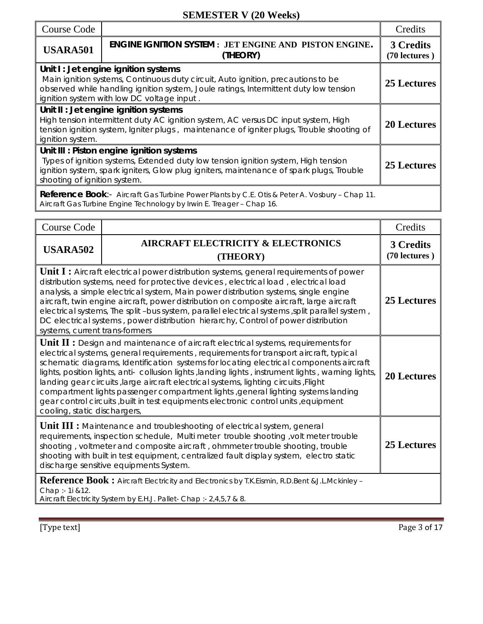| <b>Course Code</b>                                                                                                                                                                                                                                                 |                                                                                                                                                                                                                                                                | Credits                           |
|--------------------------------------------------------------------------------------------------------------------------------------------------------------------------------------------------------------------------------------------------------------------|----------------------------------------------------------------------------------------------------------------------------------------------------------------------------------------------------------------------------------------------------------------|-----------------------------------|
| <b>USARA501</b>                                                                                                                                                                                                                                                    | <b>ENGINE IGNITION SYSTEM : JET ENGINE AND PISTON ENGINE.</b><br>(THEORY)                                                                                                                                                                                      | <b>3 Credits</b><br>(70 lectures) |
|                                                                                                                                                                                                                                                                    | Unit I: Jet engine ignition systems<br>Main ignition systems, Continuous duty circuit, Auto ignition, precautions to be<br>observed while handling ignition system, Joule ratings, Intermittent duty low tension<br>ignition system with low DC voltage input. | 25 Lectures                       |
| Unit II : Jet engine ignition systems<br>High tension intermittent duty AC ignition system, AC versus DC input system, High<br><b>20 Lectures</b><br>tension ignition system, Igniter plugs, maintenance of igniter plugs, Trouble shooting of<br>ignition system. |                                                                                                                                                                                                                                                                |                                   |
| shooting of ignition system.                                                                                                                                                                                                                                       | Unit III : Piston engine ignition systems<br>Types of ignition systems, Extended duty low tension ignition system, High tension<br>ignition system, spark igniters, Glow plug igniters, maintenance of spark plugs, Trouble                                    | 25 Lectures                       |
|                                                                                                                                                                                                                                                                    | <b>Reference Book:-</b> Aircraft Gas Turbine Power Plants by C.E. Otis & Peter A. Vosbury - Chap 11.<br>Aircraft Gas Turbine Engine Technology by Irwin E. Treager - Chap 16.                                                                                  |                                   |

| <b>Course Code</b>                                                                                                                                                                                                                                                                                                                                                                                                                                                                                                                                                                                                                                                                                           |                                                                                                                                                                     | Credits                    |  |
|--------------------------------------------------------------------------------------------------------------------------------------------------------------------------------------------------------------------------------------------------------------------------------------------------------------------------------------------------------------------------------------------------------------------------------------------------------------------------------------------------------------------------------------------------------------------------------------------------------------------------------------------------------------------------------------------------------------|---------------------------------------------------------------------------------------------------------------------------------------------------------------------|----------------------------|--|
| <b>USARA502</b>                                                                                                                                                                                                                                                                                                                                                                                                                                                                                                                                                                                                                                                                                              | <b>AIRCRAFT ELECTRICITY &amp; ELECTRONICS</b><br>(THEORY)                                                                                                           | 3 Credits<br>(70 lectures) |  |
| <b>Unit I:</b> Aircraft electrical power distribution systems, general requirements of power<br>distribution systems, need for protective devices, electrical load, electrical load<br>analysis, a simple electrical system, Main power distribution systems, single engine<br>aircraft, twin engine aircraft, power distribution on composite aircraft, large aircraft<br>electrical systems, The split-bus system, parallel electrical systems, split parallel system,<br>DC electrical systems, power distribution hierarchy, Control of power distribution<br>systems, current trans-formers                                                                                                             | 25 Lectures                                                                                                                                                         |                            |  |
| <b>Unit II:</b> Design and maintenance of aircraft electrical systems, requirements for<br>electrical systems, general requirements, requirements for transport aircraft, typical<br>schematic diagrams, Identification systems for locating electrical components aircraft<br>lights, position lights, anti- collusion lights, landing lights, instrument lights, warning lights,<br><b>20 Lectures</b><br>Ianding gear circuits, large aircraft electrical systems, lighting circuits, Flight<br>compartment lights passenger compartment lights , general lighting systems landing<br>gear control circuits, built in test equipments electronic control units, equipment<br>cooling, static dischargers, |                                                                                                                                                                     |                            |  |
| <b>Unit III :</b> Maintenance and troubleshooting of electrical system, general<br>requirements, inspection schedule, Multi meter trouble shooting, volt meter trouble<br>25 Lectures<br>shooting, voltmeter and composite aircraft, ohmmeter trouble shooting, trouble<br>shooting with built in test equipment, centralized fault display system, electro static<br>discharge sensitive equipments System.                                                                                                                                                                                                                                                                                                 |                                                                                                                                                                     |                            |  |
| Chap :- 1i &12.                                                                                                                                                                                                                                                                                                                                                                                                                                                                                                                                                                                                                                                                                              | Reference Book: Aircraft Electricity and Electronics by T.K.Eismin, R.D.Bent & J.L.Mckinley -<br>Aircraft Electricity System by E.H.J. Pallet- Chap :- 2,4,5,7 & 8. |                            |  |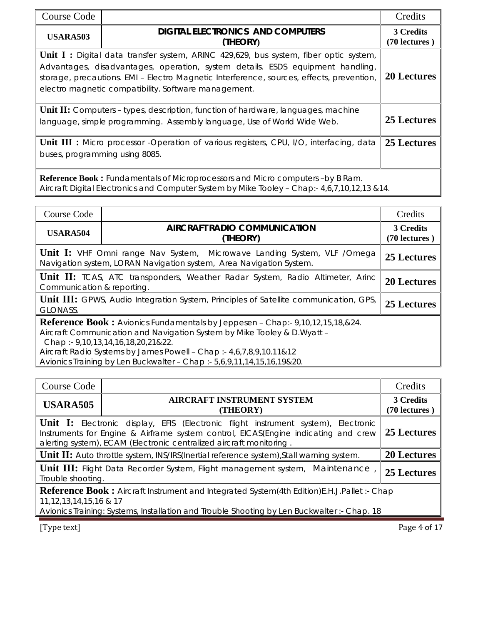| Course Code                                                                                                                                                                        |                                                                                                                                                                                                                                                                                                                                   | Credits            |  |  |
|------------------------------------------------------------------------------------------------------------------------------------------------------------------------------------|-----------------------------------------------------------------------------------------------------------------------------------------------------------------------------------------------------------------------------------------------------------------------------------------------------------------------------------|--------------------|--|--|
| <b>USARA503</b>                                                                                                                                                                    | <b>DIGITAL ELECTRONICS AND COMPUTERS</b><br>(THEORY)                                                                                                                                                                                                                                                                              |                    |  |  |
|                                                                                                                                                                                    | <b>Unit I:</b> Digital data transfer system, ARINC 429,629, bus system, fiber optic system,<br>Advantages, disadvantages, operation, system details. ESDS equipment handling,<br>storage, precautions. EMI - Electro Magnetic Interference, sources, effects, prevention,<br>electro magnetic compatibility. Software management. | <b>20 Lectures</b> |  |  |
| <b>Unit II:</b> Computers – types, description, function of hardware, languages, machine<br>25 Lectures<br>language, simple programming. Assembly language, Use of World Wide Web. |                                                                                                                                                                                                                                                                                                                                   |                    |  |  |
| 25 Lectures<br><b>Unit III :</b> Micro processor -Operation of various registers, CPU, I/O, interfacing, data<br>buses, programming using 8085.                                    |                                                                                                                                                                                                                                                                                                                                   |                    |  |  |
|                                                                                                                                                                                    | Reference Book: Fundamentals of Microprocessors and Micro computers -by B Ram.<br>Aircraft Digital Electronics and Computer System by Mike Tooley - Chap:- 4,6,7,10,12,13 & 14.                                                                                                                                                   |                    |  |  |

| Course Code                                                                                                                                           |                                                                                                                                                                                                                                                                                                                                                         | Credits |  |  |
|-------------------------------------------------------------------------------------------------------------------------------------------------------|---------------------------------------------------------------------------------------------------------------------------------------------------------------------------------------------------------------------------------------------------------------------------------------------------------------------------------------------------------|---------|--|--|
| <b>USARA504</b>                                                                                                                                       | <b>AIRCRAFT RADIO COMMUNICATION</b><br>(THEORY)                                                                                                                                                                                                                                                                                                         |         |  |  |
| <b>Unit I:</b> VHF Omni range Nav System, Microwave Landing System, VLF /Omega<br>Navigation system, LORAN Navigation system, Area Navigation System. | 25 Lectures                                                                                                                                                                                                                                                                                                                                             |         |  |  |
| <b>Unit II:</b> TCAS, ATC transponders, Weather Radar System, Radio Altimeter, Arinc<br>Communication & reporting.                                    |                                                                                                                                                                                                                                                                                                                                                         |         |  |  |
| <b>Unit III:</b> GPWS, Audio Integration System, Principles of Satellite communication, GPS,<br><b>GLONASS.</b>                                       |                                                                                                                                                                                                                                                                                                                                                         |         |  |  |
|                                                                                                                                                       | <b>Reference Book:</b> Avionics Fundamentals by Jeppesen - Chap:- 9,10,12,15,18,&24.<br>Aircraft Communication and Navigation System by Mike Tooley & D. Wyatt -<br>Chap: - 9,10,13,14,16,18,20,21&22.<br>Aircraft Radio Systems by James Powell - Chap :- 4,6,7,8,9,10.11&12<br>Avionics Training by Len Buckwalter - Chap :- 5,6,9,11,14,15,16,19&20. |         |  |  |

| Course Code                                                                                                                                                                                                                                            |                                               | Credits      |  |  |
|--------------------------------------------------------------------------------------------------------------------------------------------------------------------------------------------------------------------------------------------------------|-----------------------------------------------|--------------|--|--|
| <b>USARA505</b>                                                                                                                                                                                                                                        | <b>AIRCRAFT INSTRUMENT SYSTEM</b><br>(THEORY) |              |  |  |
| <b>Unit I:</b> Electronic display, EFIS (Electronic flight instrument system), Electronic<br>Instruments for Engine & Airframe system control, EICAS(Engine indicating and crew<br>alerting system), ECAM (Electronic centralized aircraft monitoring. | 25 Lectures                                   |              |  |  |
| <b>Unit II:</b> Auto throttle system, INS/IRS(Inertial reference system), Stall warning system.                                                                                                                                                        | <b>20 Lectures</b>                            |              |  |  |
| <b>Unit III:</b> Flight Data Recorder System, Flight management system, Maintenance<br>25 Lectures<br>Trouble shooting.                                                                                                                                |                                               |              |  |  |
| <b>Reference Book:</b> Aircraft Instrument and Integrated System(4th Edition)E.H.J.Pallet: - Chap<br>11, 12, 13, 14, 15, 16 & 17<br>Avionics Training: Systems, Installation and Trouble Shooting by Len Buckwalter :- Chap. 18                        |                                               |              |  |  |
| [Type text]                                                                                                                                                                                                                                            |                                               | Page 4 of 17 |  |  |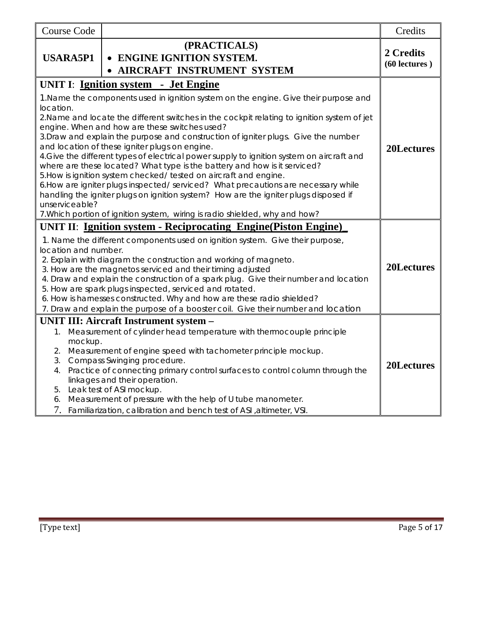| <b>Course Code</b>                          |                                                                                                                                                                                                                                                                                                                                                                                                                                                                                                                                                                                                                                                                                                                                                                                                                                                                                          | Credits                         |
|---------------------------------------------|------------------------------------------------------------------------------------------------------------------------------------------------------------------------------------------------------------------------------------------------------------------------------------------------------------------------------------------------------------------------------------------------------------------------------------------------------------------------------------------------------------------------------------------------------------------------------------------------------------------------------------------------------------------------------------------------------------------------------------------------------------------------------------------------------------------------------------------------------------------------------------------|---------------------------------|
| <b>USARA5P1</b>                             | (PRACTICALS)<br>• ENGINE IGNITION SYSTEM.<br>AIRCRAFT INSTRUMENT SYSTEM                                                                                                                                                                                                                                                                                                                                                                                                                                                                                                                                                                                                                                                                                                                                                                                                                  | 2 Credits<br>$(60$ lectures $)$ |
|                                             | UNIT I: Ignition system - Jet Engine                                                                                                                                                                                                                                                                                                                                                                                                                                                                                                                                                                                                                                                                                                                                                                                                                                                     |                                 |
| location.<br>unserviceable?                 | 1. Name the components used in ignition system on the engine. Give their purpose and<br>2. Name and locate the different switches in the cockpit relating to ignition system of jet<br>engine. When and how are these switches used?<br>3. Draw and explain the purpose and construction of igniter plugs. Give the number<br>and location of these igniter plugs on engine.<br>4. Give the different types of electrical power supply to ignition system on aircraft and<br>where are these located? What type is the battery and how is it serviced?<br>5. How is ignition system checked/ tested on aircraft and engine.<br>6. How are igniter plugs inspected/ serviced? What precautions are necessary while<br>handling the igniter plugs on ignition system? How are the igniter plugs disposed if<br>7. Which portion of ignition system, wiring is radio shielded, why and how? | 20Lectures                      |
|                                             | <b>UNIT II: Ignition system - Reciprocating Engine (Piston Engine)</b>                                                                                                                                                                                                                                                                                                                                                                                                                                                                                                                                                                                                                                                                                                                                                                                                                   |                                 |
| location and number.                        | 1. Name the different components used on ignition system. Give their purpose,<br>2. Explain with diagram the construction and working of magneto.<br>3. How are the magnetos serviced and their timing adjusted<br>4. Draw and explain the construction of a spark plug. Give their number and location<br>5. How are spark plugs inspected, serviced and rotated.<br>6. How is harnesses constructed. Why and how are these radio shielded?<br>7. Draw and explain the purpose of a booster coil. Give their number and location                                                                                                                                                                                                                                                                                                                                                        | 20Lectures                      |
|                                             | <b>UNIT III: Aircraft Instrument system -</b>                                                                                                                                                                                                                                                                                                                                                                                                                                                                                                                                                                                                                                                                                                                                                                                                                                            |                                 |
| 1.<br>mockup.<br>2.<br>3.<br>4.<br>5.<br>6. | Measurement of cylinder head temperature with thermocouple principle<br>Measurement of engine speed with tachometer principle mockup.<br>Compass Swinging procedure.<br>Practice of connecting primary control surfaces to control column through the<br>linkages and their operation.<br>Leak test of ASI mockup.<br>Measurement of pressure with the help of U tube manometer.<br>7. Familiarization, calibration and bench test of ASI , altimeter, VSI.                                                                                                                                                                                                                                                                                                                                                                                                                              | 20Lectures                      |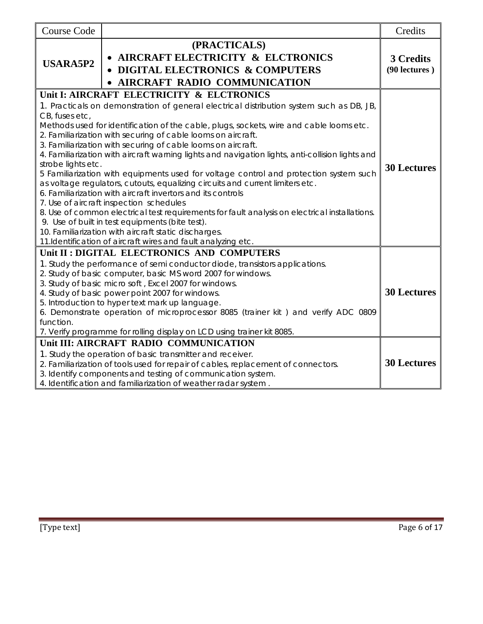| <b>Course Code</b>                                                                                                                                                                                                                                                                                     | (PRACTICALS)                                                                                                                                                                                                                                                                                                                                                                                                                                                             | Credits            |
|--------------------------------------------------------------------------------------------------------------------------------------------------------------------------------------------------------------------------------------------------------------------------------------------------------|--------------------------------------------------------------------------------------------------------------------------------------------------------------------------------------------------------------------------------------------------------------------------------------------------------------------------------------------------------------------------------------------------------------------------------------------------------------------------|--------------------|
| <b>USARA5P2</b>                                                                                                                                                                                                                                                                                        | 3 Credits<br>(90 lectures)                                                                                                                                                                                                                                                                                                                                                                                                                                               |                    |
|                                                                                                                                                                                                                                                                                                        | Unit I: AIRCRAFT ELECTRICITY & ELCTRONICS                                                                                                                                                                                                                                                                                                                                                                                                                                |                    |
| CB, fuses etc,                                                                                                                                                                                                                                                                                         | 1. Practicals on demonstration of general electrical distribution system such as DB, JB,                                                                                                                                                                                                                                                                                                                                                                                 |                    |
|                                                                                                                                                                                                                                                                                                        | Methods used for identification of the cable, plugs, sockets, wire and cable looms etc.<br>2. Familiarization with securing of cable looms on aircraft.<br>3. Familiarization with securing of cable looms on aircraft.<br>4. Familiarization with aircraft warning lights and navigation lights, anti-collision lights and                                                                                                                                              |                    |
| strobe lights etc.<br>5 Familiarization with equipments used for voltage control and protection system such<br>as voltage regulators, cutouts, equalizing circuits and current limiters etc.<br>6. Familiarization with aircraft invertors and its controls<br>7. Use of aircraft inspection schedules |                                                                                                                                                                                                                                                                                                                                                                                                                                                                          |                    |
|                                                                                                                                                                                                                                                                                                        | 8. Use of common electrical test requirements for fault analysis on electrical installations.<br>9. Use of built in test equipments (bite test).<br>10. Familiarization with aircraft static discharges.<br>11. Identification of aircraft wires and fault analyzing etc.                                                                                                                                                                                                |                    |
|                                                                                                                                                                                                                                                                                                        | Unit II: DIGITAL ELECTRONICS AND COMPUTERS                                                                                                                                                                                                                                                                                                                                                                                                                               |                    |
| function.                                                                                                                                                                                                                                                                                              | 1. Study the performance of semi conductor diode, transistors applications.<br>2. Study of basic computer, basic MS word 2007 for windows.<br>3. Study of basic micro soft, Excel 2007 for windows.<br>4. Study of basic power point 2007 for windows.<br>5. Introduction to hyper text mark up language.<br>6. Demonstrate operation of microprocessor 8085 (trainer kit) and verify ADC 0809<br>7. Verify programme for rolling display on LCD using trainer kit 8085. | <b>30 Lectures</b> |
|                                                                                                                                                                                                                                                                                                        | Unit III: AIRCRAFT RADIO COMMUNICATION                                                                                                                                                                                                                                                                                                                                                                                                                                   |                    |
|                                                                                                                                                                                                                                                                                                        | 1. Study the operation of basic transmitter and receiver.<br>2. Familiarization of tools used for repair of cables, replacement of connectors.<br>3. Identify components and testing of communication system.<br>4. Identification and familiarization of weather radar system.                                                                                                                                                                                          | <b>30 Lectures</b> |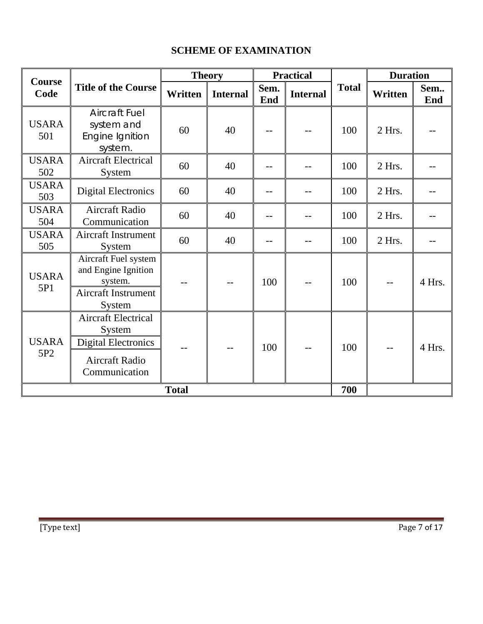# **SCHEME OF EXAMINATION**

| Course                          |                                                                                                       | <b>Theory</b> |                 | <b>Practical</b> |                 |              | <b>Duration</b> |            |
|---------------------------------|-------------------------------------------------------------------------------------------------------|---------------|-----------------|------------------|-----------------|--------------|-----------------|------------|
| Code                            | <b>Title of the Course</b>                                                                            | Written       | <b>Internal</b> | Sem.<br>End      | <b>Internal</b> | <b>Total</b> | Written         | Sem<br>End |
| <b>USARA</b><br>501             | <b>Aircraft Fuel</b><br>system and<br>Engine Ignition<br>system.                                      | 60            | 40              |                  |                 | 100          | 2 Hrs.          |            |
| <b>USARA</b><br>502             | <b>Aircraft Electrical</b><br>System                                                                  | 60            | 40              |                  |                 | 100          | 2 Hrs.          |            |
| <b>USARA</b><br>503             | <b>Digital Electronics</b>                                                                            | 60            | 40              |                  |                 | 100          | 2 Hrs.          |            |
| <b>USARA</b><br>504             | <b>Aircraft Radio</b><br>Communication                                                                | 60            | 40              |                  |                 | 100          | 2 Hrs.          |            |
| <b>USARA</b><br>505             | Aircraft Instrument<br>System                                                                         | 60            | 40              | $- -$            |                 | 100          | 2 Hrs.          |            |
| <b>USARA</b><br>5P1             | Aircraft Fuel system<br>and Engine Ignition<br>system.<br>Aircraft Instrument<br>System               |               | --              | 100              |                 | 100          |                 | 4 Hrs.     |
| <b>USARA</b><br>5P <sub>2</sub> | <b>Aircraft Electrical</b><br>System<br><b>Digital Electronics</b><br>Aircraft Radio<br>Communication |               | --              | 100              |                 | 100          |                 | 4 Hrs.     |
|                                 |                                                                                                       | <b>Total</b>  |                 |                  |                 | 700          |                 |            |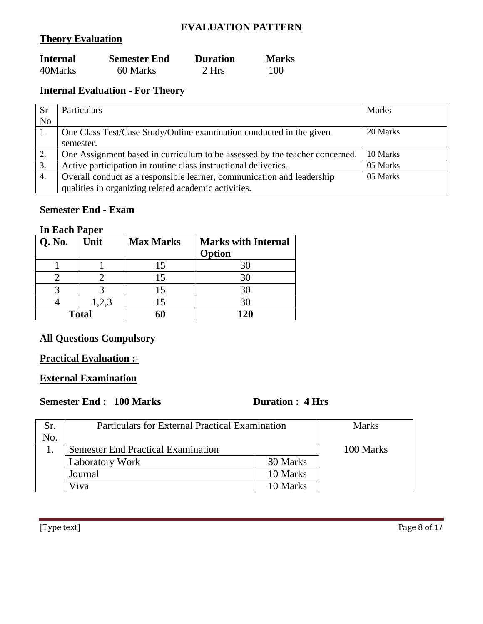## **EVALUATION PATTERN**

## **Theory Evaluation**

| <b>Internal</b> | <b>Semester End</b> | <b>Duration</b> | <b>Marks</b> |
|-----------------|---------------------|-----------------|--------------|
| 40Marks         | 60 Marks            | 2 Hrs           | 100          |

## **Internal Evaluation - For Theory**

| <b>Sr</b>        | Particulars                                                                 | <b>Marks</b> |
|------------------|-----------------------------------------------------------------------------|--------------|
| N <sub>o</sub>   |                                                                             |              |
|                  | One Class Test/Case Study/Online examination conducted in the given         | 20 Marks     |
|                  | semester.                                                                   |              |
| 2.               | One Assignment based in curriculum to be assessed by the teacher concerned. | 10 Marks     |
| 3.               | Active participation in routine class instructional deliveries.             | 05 Marks     |
| $\overline{4}$ . | Overall conduct as a responsible learner, communication and leadership      | 05 Marks     |
|                  | qualities in organizing related academic activities.                        |              |

## **Semester End - Exam**

#### **In Each Paper**

| Q. No.       | Unit | <b>Max Marks</b> | <b>Marks with Internal</b><br>Option |
|--------------|------|------------------|--------------------------------------|
|              |      | 15               |                                      |
|              |      | 15               |                                      |
|              |      | 15               |                                      |
|              |      | 15               | 30                                   |
| <b>Total</b> |      | 60               | 120                                  |

### **All Questions Compulsory**

## **Practical Evaluation :-**

## **External Examination**

# **Semester End : 100 Marks Duration : 4 Hrs**

| Sr. | <b>Particulars for External Practical Examination</b> | <b>Marks</b> |           |
|-----|-------------------------------------------------------|--------------|-----------|
| No. |                                                       |              |           |
|     | <b>Semester End Practical Examination</b>             |              | 100 Marks |
|     | <b>Laboratory Work</b>                                | 80 Marks     |           |
|     | Journal                                               | 10 Marks     |           |
|     | Viva                                                  | 10 Marks     |           |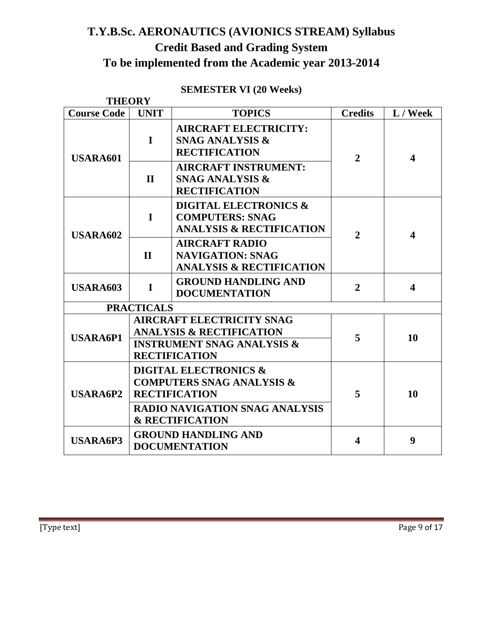# **T.Y.B.Sc. AERONAUTICS (AVIONICS STREAM) Syllabus Credit Based and Grading System To be implemented from the Academic year 2013-2014**

# **SEMESTER VI (20 Weeks)**

|                                                                                                                                                             | <b>THEORY</b>                                                                                     |                                                                                                                                                                                                                |                |                         |
|-------------------------------------------------------------------------------------------------------------------------------------------------------------|---------------------------------------------------------------------------------------------------|----------------------------------------------------------------------------------------------------------------------------------------------------------------------------------------------------------------|----------------|-------------------------|
| <b>Course Code</b>                                                                                                                                          | <b>UNIT</b>                                                                                       | <b>TOPICS</b>                                                                                                                                                                                                  | <b>Credits</b> | L / Week                |
| <b>USARA601</b>                                                                                                                                             | <b>AIRCRAFT ELECTRICITY:</b><br>$\mathbf I$<br><b>SNAG ANALYSIS &amp;</b><br><b>RECTIFICATION</b> |                                                                                                                                                                                                                | $\overline{2}$ | $\overline{\mathbf{4}}$ |
|                                                                                                                                                             | $\mathbf{H}$                                                                                      | <b>AIRCRAFT INSTRUMENT:</b><br><b>SNAG ANALYSIS &amp;</b><br><b>RECTIFICATION</b>                                                                                                                              |                |                         |
| <b>USARA602</b>                                                                                                                                             | $\mathbf I$                                                                                       | <b>DIGITAL ELECTRONICS &amp;</b><br><b>COMPUTERS: SNAG</b><br><b>ANALYSIS &amp; RECTIFICATION</b><br>$\overline{2}$<br><b>AIRCRAFT RADIO</b><br><b>NAVIGATION: SNAG</b><br><b>ANALYSIS &amp; RECTIFICATION</b> |                | $\overline{\mathbf{4}}$ |
|                                                                                                                                                             | $\mathbf H$                                                                                       |                                                                                                                                                                                                                |                |                         |
| <b>USARA603</b><br>$\mathbf I$                                                                                                                              |                                                                                                   | <b>GROUND HANDLING AND</b><br><b>DOCUMENTATION</b>                                                                                                                                                             | $\overline{2}$ | $\overline{\mathbf{4}}$ |
|                                                                                                                                                             | <b>PRACTICALS</b>                                                                                 |                                                                                                                                                                                                                |                |                         |
| <b>AIRCRAFT ELECTRICITY SNAG</b><br><b>ANALYSIS &amp; RECTIFICATION</b><br><b>USARA6P1</b><br><b>INSTRUMENT SNAG ANALYSIS &amp;</b><br><b>RECTIFICATION</b> |                                                                                                   | 5                                                                                                                                                                                                              | 10             |                         |
| <b>USARA6P2</b>                                                                                                                                             |                                                                                                   | <b>DIGITAL ELECTRONICS &amp;</b><br><b>COMPUTERS SNAG ANALYSIS &amp;</b><br><b>RECTIFICATION</b><br><b>RADIO NAVIGATION SNAG ANALYSIS</b><br><b>&amp; RECTIFICATION</b>                                        | 5              | 10                      |
| <b>USARA6P3</b>                                                                                                                                             |                                                                                                   | <b>GROUND HANDLING AND</b><br><b>DOCUMENTATION</b>                                                                                                                                                             | 4              | 9                       |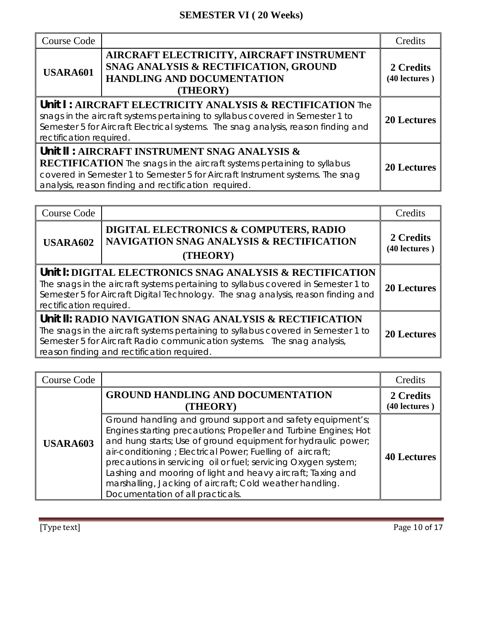# **SEMESTER VI ( 20 Weeks)**

| Course Code                                                                                                                                                                                                                                                |                                                                                                                                                                                                                                                                        | Credits                    |
|------------------------------------------------------------------------------------------------------------------------------------------------------------------------------------------------------------------------------------------------------------|------------------------------------------------------------------------------------------------------------------------------------------------------------------------------------------------------------------------------------------------------------------------|----------------------------|
| <b>USARA601</b>                                                                                                                                                                                                                                            | AIRCRAFT ELECTRICITY, AIRCRAFT INSTRUMENT<br>SNAG ANALYSIS & RECTIFICATION, GROUND<br><b>HANDLING AND DOCUMENTATION</b><br>(THEORY)                                                                                                                                    | 2 Credits<br>(40 lectures) |
| Unit I: AIRCRAFT ELECTRICITY ANALYSIS & RECTIFICATION The<br>snags in the aircraft systems pertaining to syllabus covered in Semester 1 to<br>Semester 5 for Aircraft Electrical systems. The snag analysis, reason finding and<br>rectification required. | <b>20 Lectures</b>                                                                                                                                                                                                                                                     |                            |
|                                                                                                                                                                                                                                                            | Unit II: AIRCRAFT INSTRUMENT SNAG ANALYSIS &<br><b>RECTIFICATION</b> The snags in the aircraft systems pertaining to syllabus<br>covered in Semester 1 to Semester 5 for Aircraft Instrument systems. The snag<br>analysis, reason finding and rectification required. | <b>20 Lectures</b>         |

| Course Code                                                                                                                                                                                                                                                           |                                                                                                           | Credits                    |  |
|-----------------------------------------------------------------------------------------------------------------------------------------------------------------------------------------------------------------------------------------------------------------------|-----------------------------------------------------------------------------------------------------------|----------------------------|--|
| <b>USARA602</b>                                                                                                                                                                                                                                                       | DIGITAL ELECTRONICS & COMPUTERS, RADIO<br><b>NAVIGATION SNAG ANALYSIS &amp; RECTIFICATION</b><br>(THEORY) | 2 Credits<br>(40 lectures) |  |
| Unit I: DIGITAL ELECTRONICS SNAG ANALYSIS & RECTIFICATION<br>The snags in the aircraft systems pertaining to syllabus covered in Semester 1 to<br>Semester 5 for Aircraft Digital Technology. The snag analysis, reason finding and<br>rectification required.        |                                                                                                           |                            |  |
| Unit II: RADIO NAVIGATION SNAG ANALYSIS & RECTIFICATION<br>The snags in the aircraft systems pertaining to syllabus covered in Semester 1 to<br>Semester 5 for Aircraft Radio communication systems. The snag analysis,<br>reason finding and rectification required. |                                                                                                           |                            |  |

| <b>Course Code</b> |                                                                                                                                                                                                                                                                                                                                                                                                                                                                                               | Credits                    |
|--------------------|-----------------------------------------------------------------------------------------------------------------------------------------------------------------------------------------------------------------------------------------------------------------------------------------------------------------------------------------------------------------------------------------------------------------------------------------------------------------------------------------------|----------------------------|
|                    | <b>GROUND HANDLING AND DOCUMENTATION</b><br>(THEORY)                                                                                                                                                                                                                                                                                                                                                                                                                                          | 2 Credits<br>(40 lectures) |
| <b>USARA603</b>    | Ground handling and ground support and safety equipment's;<br>Engines starting precautions; Propeller and Turbine Engines; Hot<br>and hung starts; Use of ground equipment for hydraulic power;<br>air-conditioning; Electrical Power; Fuelling of aircraft;<br>precautions in servicing oil or fuel; servicing Oxygen system;<br>Lashing and mooring of light and heavy aircraft; Taxing and<br>marshalling, Jacking of aircraft; Cold weather handling.<br>Documentation of all practicals. | <b>40 Lectures</b>         |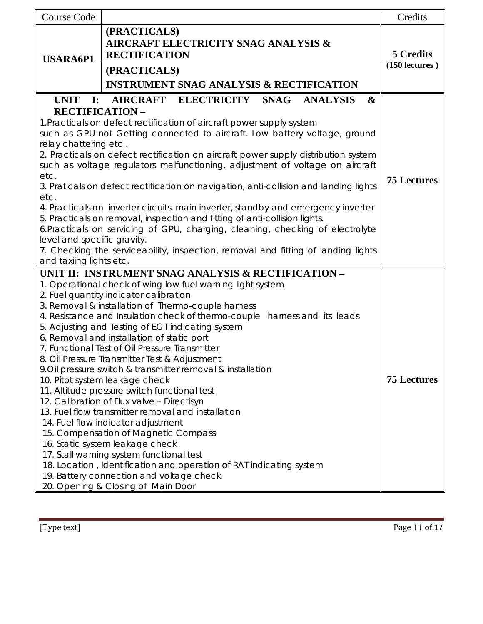| <b>Course Code</b>                                                                           |                                                                                                                                                                    | Credits                              |  |
|----------------------------------------------------------------------------------------------|--------------------------------------------------------------------------------------------------------------------------------------------------------------------|--------------------------------------|--|
| <b>USARA6P1</b>                                                                              | (PRACTICALS)<br><b>AIRCRAFT ELECTRICITY SNAG ANALYSIS &amp;</b><br><b>RECTIFICATION</b><br>(PRACTICALS)<br><b>INSTRUMENT SNAG ANALYSIS &amp; RECTIFICATION</b>     | <b>5 Credits</b><br>$(150$ lectures) |  |
| UNIT I:                                                                                      | AIRCRAFT ELECTRICITY SNAG<br><b>ANALYSIS</b><br>$\boldsymbol{\alpha}$                                                                                              |                                      |  |
| <b>RECTIFICATION -</b>                                                                       |                                                                                                                                                                    |                                      |  |
| relay chattering etc.                                                                        | 1. Practicals on defect rectification of aircraft power supply system<br>such as GPU not Getting connected to aircraft. Low battery voltage, ground                |                                      |  |
|                                                                                              | 2. Practicals on defect rectification on aircraft power supply distribution system<br>such as voltage regulators malfunctioning, adjustment of voltage on aircraft |                                      |  |
| etc.                                                                                         |                                                                                                                                                                    |                                      |  |
|                                                                                              | 3. Praticals on defect rectification on navigation, anti-collision and landing lights                                                                              | <b>75 Lectures</b>                   |  |
| etc.                                                                                         |                                                                                                                                                                    |                                      |  |
|                                                                                              | 4. Practicals on inverter circuits, main inverter, standby and emergency inverter                                                                                  |                                      |  |
|                                                                                              | 5. Practicals on removal, inspection and fitting of anti-collision lights.<br>6.Practicals on servicing of GPU, charging, cleaning, checking of electrolyte        |                                      |  |
| level and specific gravity.                                                                  |                                                                                                                                                                    |                                      |  |
| 7. Checking the serviceability, inspection, removal and fitting of landing lights            |                                                                                                                                                                    |                                      |  |
| and taxiing lights etc.                                                                      |                                                                                                                                                                    |                                      |  |
|                                                                                              | UNIT II: INSTRUMENT SNAG ANALYSIS & RECTIFICATION -                                                                                                                |                                      |  |
|                                                                                              | 1. Operational check of wing low fuel warning light system                                                                                                         |                                      |  |
| 2. Fuel quantity indicator calibration<br>3. Removal & installation of Thermo-couple harness |                                                                                                                                                                    |                                      |  |
|                                                                                              | 4. Resistance and Insulation check of thermo-couple harness and its leads                                                                                          |                                      |  |
|                                                                                              | 5. Adjusting and Testing of EGT indicating system                                                                                                                  |                                      |  |
|                                                                                              | 6. Removal and installation of static port                                                                                                                         |                                      |  |
|                                                                                              | 7. Functional Test of Oil Pressure Transmitter                                                                                                                     |                                      |  |
|                                                                                              | 8. Oil Pressure Transmitter Test & Adjustment                                                                                                                      |                                      |  |
|                                                                                              | 9. Oil pressure switch & transmitter removal & installation                                                                                                        |                                      |  |
|                                                                                              | 10. Pitot system leakage check                                                                                                                                     | <b>75 Lectures</b>                   |  |
|                                                                                              | 11. Altitude pressure switch functional test                                                                                                                       |                                      |  |
|                                                                                              | 12. Calibration of Flux valve - Directisyn<br>13. Fuel flow transmitter removal and installation                                                                   |                                      |  |
|                                                                                              | 14. Fuel flow indicator adjustment                                                                                                                                 |                                      |  |
| 15. Compensation of Magnetic Compass                                                         |                                                                                                                                                                    |                                      |  |
| 16. Static system leakage check                                                              |                                                                                                                                                                    |                                      |  |
|                                                                                              | 17. Stall warning system functional test                                                                                                                           |                                      |  |
|                                                                                              | 18. Location, Identification and operation of RAT indicating system                                                                                                |                                      |  |
|                                                                                              | 19. Battery connection and voltage check                                                                                                                           |                                      |  |
|                                                                                              | 20. Opening & Closing of Main Door                                                                                                                                 |                                      |  |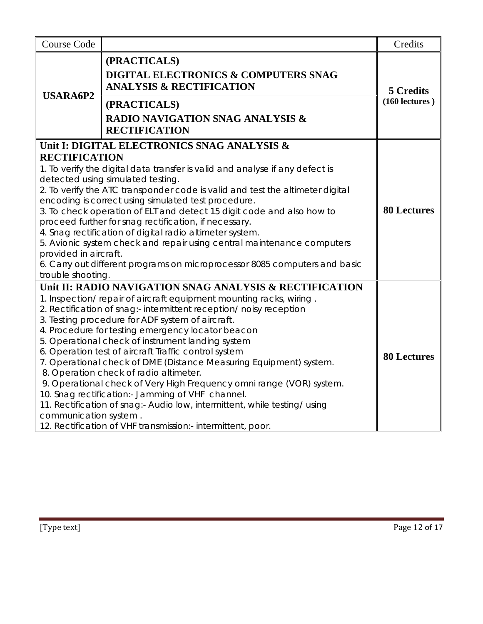| <b>Course Code</b>                                                 |                                                                                                                                                                                                                                                                                                                                                                                                                                                                                                                                                                                                                                                                                                                                                                                                                   | Credits                              |
|--------------------------------------------------------------------|-------------------------------------------------------------------------------------------------------------------------------------------------------------------------------------------------------------------------------------------------------------------------------------------------------------------------------------------------------------------------------------------------------------------------------------------------------------------------------------------------------------------------------------------------------------------------------------------------------------------------------------------------------------------------------------------------------------------------------------------------------------------------------------------------------------------|--------------------------------------|
| <b>USARA6P2</b>                                                    | (PRACTICALS)<br><b>DIGITAL ELECTRONICS &amp; COMPUTERS SNAG</b><br><b>ANALYSIS &amp; RECTIFICATION</b><br>(PRACTICALS)<br><b>RADIO NAVIGATION SNAG ANALYSIS &amp;</b><br><b>RECTIFICATION</b>                                                                                                                                                                                                                                                                                                                                                                                                                                                                                                                                                                                                                     | <b>5 Credits</b><br>$(160$ lectures) |
| <b>RECTIFICATION</b><br>provided in aircraft.<br>trouble shooting. | Unit I: DIGITAL ELECTRONICS SNAG ANALYSIS &<br>1. To verify the digital data transfer is valid and analyse if any defect is<br>detected using simulated testing.<br>2. To verify the ATC transponder code is valid and test the altimeter digital<br>encoding is correct using simulated test procedure.<br>3. To check operation of ELT and detect 15 digit code and also how to<br>proceed further for snag rectification, if necessary.<br>4. Snag rectification of digital radio altimeter system.<br>5. Avionic system check and repair using central maintenance computers<br>6. Carry out different programs on microprocessor 8085 computers and basic                                                                                                                                                    | <b>80 Lectures</b>                   |
| communication system.                                              | Unit II: RADIO NAVIGATION SNAG ANALYSIS & RECTIFICATION<br>1. Inspection/repair of aircraft equipment mounting racks, wiring.<br>2. Rectification of snag:- intermittent reception/ noisy reception<br>3. Testing procedure for ADF system of aircraft.<br>4. Procedure for testing emergency locator beacon<br>5. Operational check of instrument landing system<br>6. Operation test of aircraft Traffic control system<br>7. Operational check of DME (Distance Measuring Equipment) system.<br>8. Operation check of radio altimeter.<br>9. Operational check of Very High Frequency omni range (VOR) system.<br>10. Snag rectification:- Jamming of VHF channel.<br>11. Rectification of snag:- Audio low, intermittent, while testing/ using<br>12. Rectification of VHF transmission:- intermittent, poor. | <b>80 Lectures</b>                   |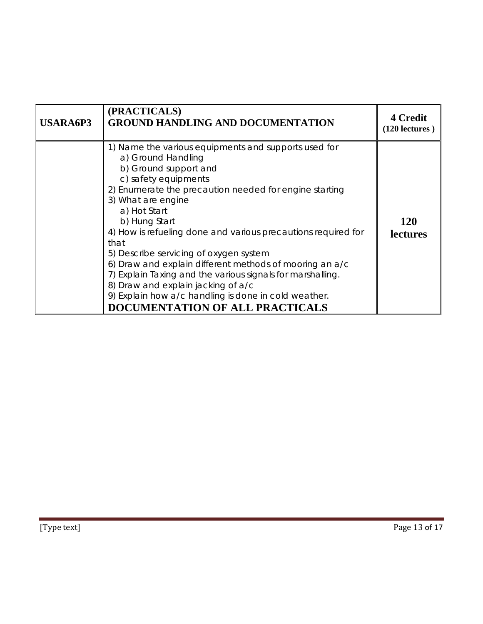| <b>USARA6P3</b> | (PRACTICALS)<br><b>GROUND HANDLING AND DOCUMENTATION</b>                                                                                                                                                                                                                                                                                                                                                                                                                                                                                                                                                                  | <b>4 Credit</b><br>$(120$ lectures) |
|-----------------|---------------------------------------------------------------------------------------------------------------------------------------------------------------------------------------------------------------------------------------------------------------------------------------------------------------------------------------------------------------------------------------------------------------------------------------------------------------------------------------------------------------------------------------------------------------------------------------------------------------------------|-------------------------------------|
|                 | 1) Name the various equipments and supports used for<br>a) Ground Handling<br>b) Ground support and<br>c) safety equipments<br>2) Enumerate the precaution needed for engine starting<br>3) What are engine<br>a) Hot Start<br>b) Hung Start<br>4) How is refueling done and various precautions required for<br>that<br>5) Describe servicing of oxygen system<br>6) Draw and explain different methods of mooring an a/c<br>7) Explain Taxing and the various signals for marshalling.<br>8) Draw and explain jacking of a/c<br>9) Explain how a/c handling is done in cold weather.<br>DOCUMENTATION OF ALL PRACTICALS | 120<br><b>lectures</b>              |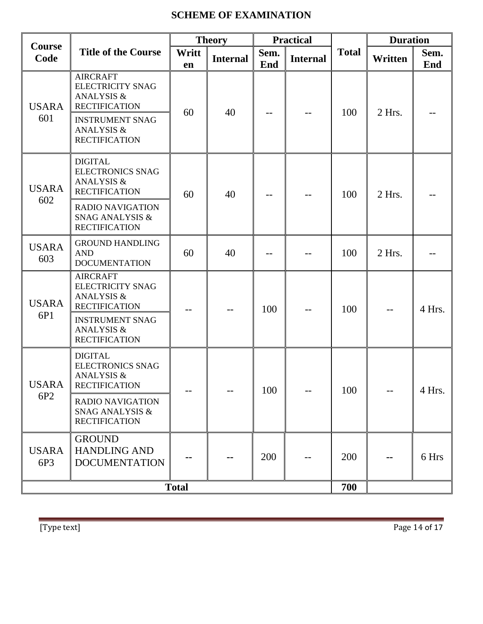# **SCHEME OF EXAMINATION**

|                                 |                                                                                             |              | <b>Theory</b>   |             | <b>Practical</b> |              | <b>Duration</b> |             |
|---------------------------------|---------------------------------------------------------------------------------------------|--------------|-----------------|-------------|------------------|--------------|-----------------|-------------|
| Course<br>Code                  | <b>Title of the Course</b>                                                                  | Writt<br>en  | <b>Internal</b> | Sem.<br>End | <b>Internal</b>  | <b>Total</b> | Written         | Sem.<br>End |
| <b>USARA</b>                    | <b>AIRCRAFT</b><br><b>ELECTRICITY SNAG</b><br>ANALYSIS &<br><b>RECTIFICATION</b>            | 60           | 40              |             |                  | 100          | 2 Hrs.          |             |
| 601                             | <b>INSTRUMENT SNAG</b><br><b>ANALYSIS &amp;</b><br><b>RECTIFICATION</b>                     |              |                 |             |                  |              |                 |             |
| <b>USARA</b>                    | <b>DIGITAL</b><br><b>ELECTRONICS SNAG</b><br><b>ANALYSIS &amp;</b><br><b>RECTIFICATION</b>  | 60           | 40<br>100       | $- -$       | 2 Hrs.           |              |                 |             |
| 602                             | <b>RADIO NAVIGATION</b><br><b>SNAG ANALYSIS &amp;</b><br><b>RECTIFICATION</b>               |              |                 |             |                  |              |                 |             |
| <b>USARA</b><br>603             | <b>GROUND HANDLING</b><br><b>AND</b><br><b>DOCUMENTATION</b>                                | 60           | 40              |             |                  | 100          | 2 Hrs.          |             |
| <b>USARA</b>                    | <b>AIRCRAFT</b><br><b>ELECTRICITY SNAG</b><br><b>ANALYSIS &amp;</b><br><b>RECTIFICATION</b> |              | --              | 100         | --               | 100          |                 | 4 Hrs.      |
| 6P1                             | <b>INSTRUMENT SNAG</b><br><b>ANALYSIS &amp;</b><br><b>RECTIFICATION</b>                     |              |                 |             |                  |              |                 |             |
| <b>USARA</b><br>6P <sub>2</sub> | <b>DIGITAL</b><br><b>ELECTRONICS SNAG</b><br>ANALYSIS &<br><b>RECTIFICATION</b>             |              |                 | 100         |                  | 100          |                 | 4 Hrs.      |
|                                 | <b>RADIO NAVIGATION</b><br><b>SNAG ANALYSIS &amp;</b><br><b>RECTIFICATION</b>               |              |                 |             |                  |              |                 |             |
| <b>USARA</b><br>6P3             | <b>GROUND</b><br><b>HANDLING AND</b><br><b>DOCUMENTATION</b>                                |              |                 | 200         |                  | 200          |                 | 6 Hrs       |
|                                 |                                                                                             | <b>Total</b> |                 |             |                  | 700          |                 |             |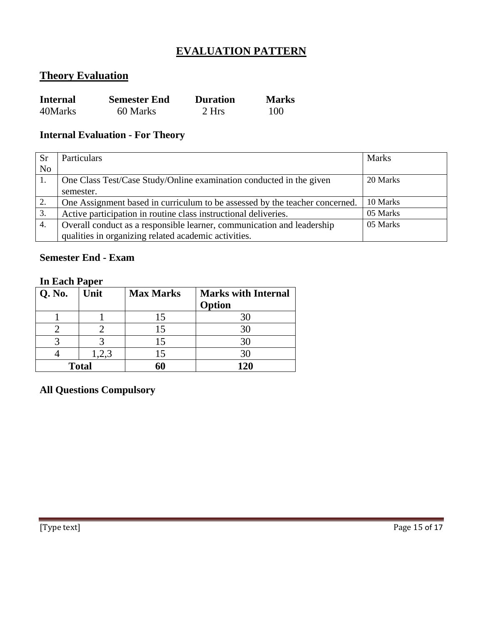# **EVALUATION PATTERN**

# **Theory Evaluation**

| <b>Internal</b> | <b>Semester End</b> | <b>Duration</b> | <b>Marks</b> |
|-----------------|---------------------|-----------------|--------------|
| 40Marks         | 60 Marks            | 2 Hrs           | 100          |

# **Internal Evaluation - For Theory**

| <b>Sr</b>      | Particulars                                                                 | <b>Marks</b> |
|----------------|-----------------------------------------------------------------------------|--------------|
| N <sub>o</sub> |                                                                             |              |
|                | One Class Test/Case Study/Online examination conducted in the given         | 20 Marks     |
|                | semester.                                                                   |              |
| 2.             | One Assignment based in curriculum to be assessed by the teacher concerned. | 10 Marks     |
| 3.             | Active participation in routine class instructional deliveries.             | 05 Marks     |
| 4.             | Overall conduct as a responsible learner, communication and leadership      | 05 Marks     |
|                | qualities in organizing related academic activities.                        |              |

# **Semester End - Exam**

#### **In Each Paper**

| Q. No.       | Unit  | <b>Max Marks</b> | <b>Marks with Internal</b><br>Option |
|--------------|-------|------------------|--------------------------------------|
|              |       | 15               | 30                                   |
|              |       |                  | 30                                   |
|              |       | 15               | 30                                   |
|              | 1,2,3 | 15               | 30                                   |
| <b>Total</b> |       |                  | 120                                  |

**All Questions Compulsory**